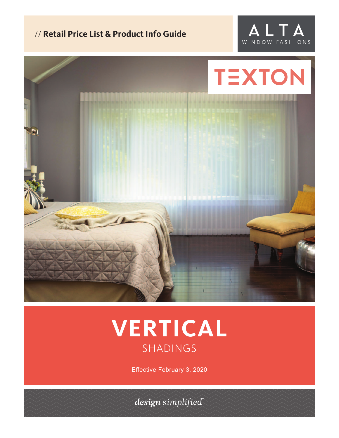# // **Retail Price List & Product Info Guide**





# **VERTICAL** SHADINGS

Effective February 3, 2020

design simplified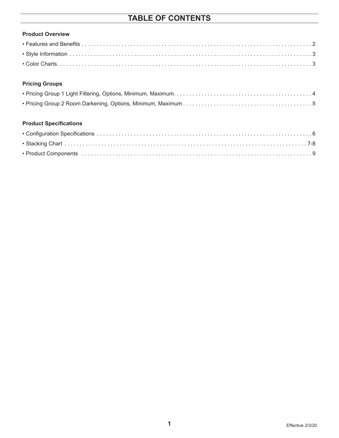# **TABLE OF CONTENTS**

| <b>Product Overview</b> |  |
|-------------------------|--|
|                         |  |
|                         |  |
|                         |  |

### **Pricing Groups**

### **Product Specifications**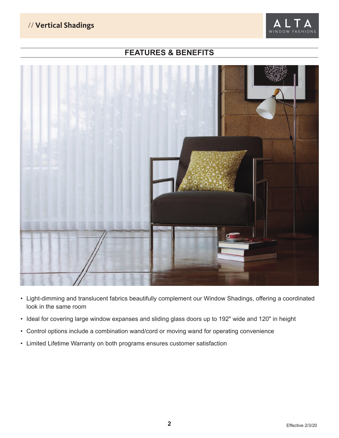## // **Vertical Shadings**



# **FEATURES & BENEFITS**



- Light-dimming and translucent fabrics beautifully complement our Window Shadings, offering a coordinated look in the same room
- Ideal for covering large window expanses and sliding glass doors up to 192" wide and 120" in height
- Control options include a combination wand/cord or moving wand for operating convenience
- Limited Lifetime Warranty on both programs ensures customer satisfaction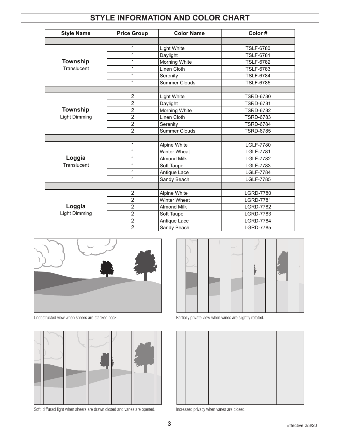# **STYLE INFORMATION AND COLOR CHART**

| <b>Style Name</b>    | <b>Price Group</b> | <b>Color Name</b>    | Color#           |
|----------------------|--------------------|----------------------|------------------|
|                      |                    |                      |                  |
|                      | 1                  | <b>Light White</b>   | <b>TSLF-6780</b> |
|                      | 1                  | Daylight             | <b>TSLF-6781</b> |
| Township             | 1                  | Morning White        | <b>TSLF-6782</b> |
| Translucent          | 1                  | Linen Cloth          | <b>TSLF-6783</b> |
|                      | 1                  | Serenity             | <b>TSLF-6784</b> |
|                      | 1                  | <b>Summer Clouds</b> | <b>TSLF-6785</b> |
|                      |                    |                      |                  |
|                      | $\overline{2}$     | Light White          | <b>TSRD-6780</b> |
|                      | $\overline{2}$     | Daylight             | <b>TSRD-6781</b> |
| Township             | $\overline{2}$     | Morning White        | <b>TSRD-6782</b> |
| Light Dimming        | $\overline{2}$     | Linen Cloth          | <b>TSRD-6783</b> |
|                      | $\overline{2}$     | Serenity             | <b>TSRD-6784</b> |
|                      | $\overline{2}$     | <b>Summer Clouds</b> | <b>TSRD-6785</b> |
|                      |                    |                      |                  |
|                      | 1                  | Alpine White         | <b>LGLF-7780</b> |
|                      | 1                  | <b>Winter Wheat</b>  | <b>LGLF-7781</b> |
| Loggia               | 1                  | <b>Almond Milk</b>   | <b>LGLF-7782</b> |
| Translucent          | 1                  | Soft Taupe           | <b>LGLF-7783</b> |
|                      | 1                  | Antique Lace         | <b>LGLF-7784</b> |
|                      | 1                  | Sandy Beach          | <b>LGLF-7785</b> |
|                      |                    |                      |                  |
|                      | $\overline{2}$     | Alpine White         | <b>LGRD-7780</b> |
|                      | $\overline{2}$     | <b>Winter Wheat</b>  | <b>LGRD-7781</b> |
| Loggia               | $\overline{2}$     | <b>Almond Milk</b>   | <b>LGRD-7782</b> |
| <b>Light Dimming</b> | $\overline{2}$     | Soft Taupe           | <b>LGRD-7783</b> |
|                      | $\overline{2}$     | Antique Lace         | <b>LGRD-7784</b> |
|                      | $\overline{2}$     | Sandy Beach          | <b>LGRD-7785</b> |





Soft, diffused light when sheers are drawn closed and vanes are opened. Increased privacy when vanes are closed.



Unobstructed view when sheers are stacked back. <br>
Partially private view when vanes are slightly rotated.

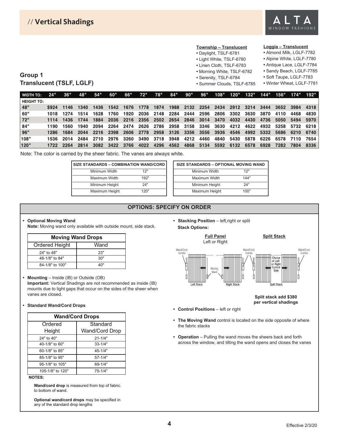

#### **Township – Translucent**

- Daylight, TSLF-6781
- Light White, TSLF-6780
- Linen Cloth, TSLF-6783
- Morning White, TSLF-6782 **•** Serenity, TSLF-6784

**•** Summer Clouds, TSLF-6785

**•** Sandy Beach, LGLF-7785

**Loggia – Translucent •** Almond Milk, LGLF-7782 **•** Alpine White, LGLF-7780 **•** Antique Lace, LGLF-7784

- Soft Taupe, LGLF-7783
- Winter Wheat, LGLF-7781

### **Group 1 Translucent (TSLF, LGLF)**

| <b>WIDTH TO:</b>  | 24"   | 36"                 | 48"       | 54"       | 60"  |      |      | 66" 72" 78" 84"     |           | 90"  | 96"                                          |      |      |      | 108" 120" 132" 144" 156" 174" 192" |      |                |      |
|-------------------|-------|---------------------|-----------|-----------|------|------|------|---------------------|-----------|------|----------------------------------------------|------|------|------|------------------------------------|------|----------------|------|
| <b>HEIGHT TO:</b> |       |                     |           |           |      |      |      |                     |           |      |                                              |      |      |      |                                    |      |                |      |
| 48"               |       | \$924 1146 1340     |           | 1436      | 1542 |      |      |                     |           |      | 1676 1778 1874 1988 2132 2254 2434 2912 3214 |      |      |      | 3444                               | 3652 | 3984 4318      |      |
| 60"               |       | 1018 1274 1514 1628 |           |           | 1760 | 1920 |      | 2036 2148 2284      |           |      | 2444 2596 2806 3302 3630                     |      |      |      | 3870                               | 4110 | 4468           | 4830 |
| 72"               |       | 1114 1436           | 1744 1884 |           | 2036 |      |      |                     |           |      | 2216 2356 2502 2654 2846 3014 3470 4032 4430 |      |      |      | 4736                               | 5050 | 5494 5970      |      |
| 84"               | 1190. | 1560                | 1940      | 2094      | 2264 |      |      |                     |           |      | 2474 2626 2786 2958 3158 3346 3630 4212 4622 |      |      |      | 4932                               |      | 5258 5732 6218 |      |
| 96"               | 1286. | 1684                |           | 2044 2216 | 2398 | 2606 |      |                     |           |      | 2778 2958 3126 3356 3556 3936 4546 4992      |      |      |      | 5332                               | 5686 | 6210 6740      |      |
| 108"              | 1536. | 2014                |           | 2484 2710 | 2976 |      |      | 3260 3490 3718 3948 |           | 4212 | 4460                                         | 4840 | 5430 | 5878 | 6226                               |      | 6578 7110 7654 |      |
| 120"              | 1722  | 2264                | 2814      | 3082      | 3422 | 3766 | 4022 |                     | 4296 4562 | 4868 | 5134                                         | 5592 | 6132 | 6578 | 6928                               | 7282 | 7804           | 8336 |

Note: The color is carried by the sheer fabric. The vanes are always white.

| SIZE STANDARDS - COMBINATION WAND/CORD |      |  |  |  |  |  |
|----------------------------------------|------|--|--|--|--|--|
| Minimum Width                          | 12"  |  |  |  |  |  |
| Maximum Width                          | 192" |  |  |  |  |  |
| Minimum Height                         | 24"  |  |  |  |  |  |
| Maximum Height                         | 120" |  |  |  |  |  |

| SIZE STANDARDS - OPTIONAL MOVING WAND |      |  |  |  |  |  |  |
|---------------------------------------|------|--|--|--|--|--|--|
| Minimum Width                         | 12"  |  |  |  |  |  |  |
| Maximum Width                         | 144" |  |  |  |  |  |  |
| Minimum Height                        | 24"  |  |  |  |  |  |  |
| Maximum Height                        | 100" |  |  |  |  |  |  |

### **OPTIONS: SPECIFY ON ORDER**

#### **• Optional Moving Wand**

**Note:** Moving wand only available with outside mount, side stack.

| <b>Moving Wand Drops</b> |      |  |  |  |  |  |  |  |  |
|--------------------------|------|--|--|--|--|--|--|--|--|
| Ordered Height           | Wand |  |  |  |  |  |  |  |  |
| 24" to 48"               | 23"  |  |  |  |  |  |  |  |  |
| 48-1/8" to 84"           | 30"  |  |  |  |  |  |  |  |  |
| 84-1/8" to 100"          | 4∩"  |  |  |  |  |  |  |  |  |

**• Mounting** – Inside (IB) or Outside (OB) **Important:** Vertical Shadings are not recommended as inside (IB) mounts due to light gaps that occur on the sides of the sheer when vanes are closed.

#### **• Standard Wand/Cord Drops**

| <b>Wand/Cord Drops</b> |                |  |  |  |  |  |  |  |  |
|------------------------|----------------|--|--|--|--|--|--|--|--|
| Ordered                | Standard       |  |  |  |  |  |  |  |  |
| Height                 | Wand/Cord Drop |  |  |  |  |  |  |  |  |
| 24" to 40"             | $21 - 1/4"$    |  |  |  |  |  |  |  |  |
| 40-1/8" to 60"         | $33 - 1/4"$    |  |  |  |  |  |  |  |  |
| 60-1/8" to 85"         | $45 - 1/4"$    |  |  |  |  |  |  |  |  |
| 85-1/8" to 95"         | $57-1/4"$      |  |  |  |  |  |  |  |  |
| 95-1/8" to 105"        | $69 - 1/4"$    |  |  |  |  |  |  |  |  |
| 105-1/8" to 120"       | $75 - 1/4"$    |  |  |  |  |  |  |  |  |

#### **NOTES:**

**Wand/cord drop** is measured from top of fabric. to bottom of wand.

**Optional wand/cord drops** may be specified in any of the standard drop lengths

• Stacking Position - left,right or split **Stack Options:** 



**Split stack add \$380 per vertical shadings**

- **Control Positions**  left or right
- **The Moving Wand** control is located on the side opposite of where the fabric stacks
- **Operation**  Pulling the wand moves the sheers back and forth across the window, and tilting the wand opens and closes the vanes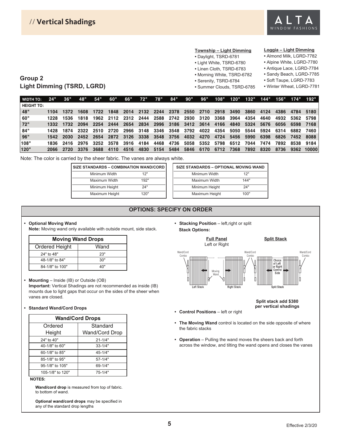

#### **Township – Light Dimming**

- Daylight, TSRD-6781
- Light White, TSRD-6780
- Linen Cloth, TSRD-6783
- Morning White, TSRD-6782
- Serenity, TSRD-6784
- 
- Summer Clouds, TSRD-6785

#### **Loggia – Light Dimming**

- Almond Milk, LGRD-7782
- Alpine White, LGRD-7780
- Antique Lace, LGRD-7784
- Sandy Beach, LGRD-7785
- Soft Taupe, LGRD-7783
- Winter Wheat, LGRD-7781

**Group 2 Light Dimming (TSRD, LGRD)**

| <b>WIDTH TO:</b>  | 24"   | 36"       | 48"       | 54"  | 60"                 |      |      | 66" 72" 78" | 84"       | 90"                                | 96"       |                |                |      |      |                |           | 108" 120" 132" 144" 156" 174" 192" |
|-------------------|-------|-----------|-----------|------|---------------------|------|------|-------------|-----------|------------------------------------|-----------|----------------|----------------|------|------|----------------|-----------|------------------------------------|
| <b>HEIGHT TO:</b> |       |           |           |      |                     |      |      |             |           |                                    |           |                |                |      |      |                |           |                                    |
| 48"               | 1104. | 1372      | 1608      |      |                     |      |      |             |           | 1722 1848 2014 2132 2244 2378 2550 |           | 2710 2918 3490 |                | 3860 |      | 4124 4386      |           | 4784 5180                          |
| 60"               | 1228. | 1536      | 1818      | 1962 |                     |      |      |             |           | 2112 2312 2444 2588 2742 2930 3120 |           | 3368           | 3964           | 4354 | 4640 | 4932           |           | 5362 5798                          |
| 72"               |       | 1332 1732 | 2094      | 2254 | 2444                | 2654 |      |             |           | 2834 2996 3186 3412 3614           |           | 4166           | 4840           | 5324 | 5676 | 6056           |           | 6598 7168                          |
| 84"               | 1428. | 1874      | 2322 2510 |      | 2720                |      |      |             |           | 2966 3148 3346 3548 3792 4022      |           | 4354           | 5050           | 5544 | 5924 | 6314 6882 7460 |           |                                    |
| 96"               | 1542. | 2030      | 2452 2654 |      |                     |      |      |             |           | 2872 3126 3338 3548 3756 4032 4270 |           | 4724           | 5456           | 5990 | 6398 | 6826           | 7452 8088 |                                    |
| 108"              | 1836. | 2416      |           |      | 2976 3252 3578 3916 |      | 4184 |             | 4468 4736 |                                    | 5058 5352 |                | 5798 6512 7044 |      | 7474 | 7892           |           | 8538 9184                          |
| 120"              | 2066  | -2720     | 3376      | 3688 | 4110                | 4516 | 4830 |             | 5154 5484 |                                    | 5846 6170 | 6712           | 7368           | 7892 | 8320 | 8736           |           | 9362 10000                         |

Note: The color is carried by the sheer fabric. The vanes are always white.

| SIZE STANDARDS - COMBINATION WAND/CORD |      |  |  |  |  |  |  |  |
|----------------------------------------|------|--|--|--|--|--|--|--|
| Minimum Width                          | 12"  |  |  |  |  |  |  |  |
| Maximum Width                          | 192" |  |  |  |  |  |  |  |
| Minimum Height                         | 24"  |  |  |  |  |  |  |  |
| Maximum Height                         | 120" |  |  |  |  |  |  |  |

| SIZE STANDARDS - OPTIONAL MOVING WAND |      |  |  |  |  |  |  |
|---------------------------------------|------|--|--|--|--|--|--|
| Minimum Width                         | 12"  |  |  |  |  |  |  |
| Maximum Width                         | 144" |  |  |  |  |  |  |
| Minimum Height                        | 24"  |  |  |  |  |  |  |
| Maximum Height                        | 100" |  |  |  |  |  |  |

### **OPTIONS: SPECIFY ON ORDER**

#### **• Optional Moving Wand**

**Note:** Moving wand only available with outside mount, side stack.

| <b>Moving Wand Drops</b> |      |  |  |
|--------------------------|------|--|--|
| Ordered Height           | Wand |  |  |
| 24" to 48"               | 23"  |  |  |
| 48-1/8" to 84"           | 30"  |  |  |
| 84-1/8" to 100"          | ⊿∩"  |  |  |

#### **• Mounting** – Inside (IB) or Outside (OB)

**Important:** Vertical Shadings are not recommended as inside (IB) mounts due to light gaps that occur on the sides of the sheer when vanes are closed.

#### **• Standard Wand/Cord Drops**

| <b>Wand/Cord Drops</b> |                |  |  |  |
|------------------------|----------------|--|--|--|
| Ordered                | Standard       |  |  |  |
| Height                 | Wand/Cord Drop |  |  |  |
| 24" to 40"             | $21 - 1/4"$    |  |  |  |
| 40-1/8" to 60"         | $33 - 1/4"$    |  |  |  |
| 60-1/8" to 85"         | $45 - 1/4"$    |  |  |  |
| 85-1/8" to 95"         | $57 - 1/4"$    |  |  |  |
| 95-1/8" to 105"        | $69 - 1/4"$    |  |  |  |
| 105-1/8" to 120"       | 75-1/4"        |  |  |  |

#### **NOTES:**

**Wand/cord drop** is measured from top of fabric. to bottom of wand.

**Optional wand/cord drops** may be specified in any of the standard drop lengths

• Stacking Position - left, right or split **Stack Options:** 



**Split stack add \$380 per vertical shadings**

- **Control Positions**  left or right
- **The Moving Wand** control is located on the side opposite of where the fabric stacks
- **Operation**  Pulling the wand moves the sheers back and forth across the window, and tilting the wand opens and closes the vanes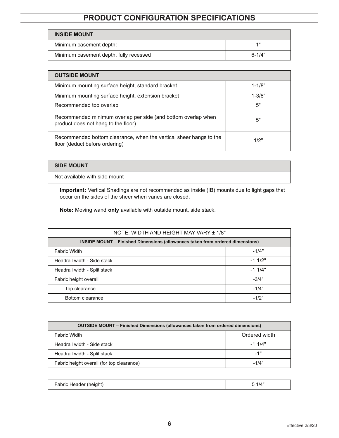# **PRODUCT CONFIGURATION SPECIFICATIONS**

| <b>INSIDE MOUNT</b>                    |            |
|----------------------------------------|------------|
| Minimum casement depth:                | 411        |
| Minimum casement depth, fully recessed | $6 - 1/4"$ |

| <b>OUTSIDE MOUNT</b>                                                                                 |            |  |  |  |
|------------------------------------------------------------------------------------------------------|------------|--|--|--|
| Minimum mounting surface height, standard bracket                                                    | $1 - 1/8"$ |  |  |  |
| Minimum mounting surface height, extension bracket                                                   | $1 - 3/8"$ |  |  |  |
| Recommended top overlap                                                                              | 5"         |  |  |  |
| Recommended minimum overlap per side (and bottom overlap when<br>product does not hang to the floor) | 5"         |  |  |  |
| Recommended bottom clearance, when the vertical sheer hangs to the<br>floor (deduct before ordering) | 1/2"       |  |  |  |

#### **SIDE MOUNT**

Not available with side mount

**Important:** Vertical Shadings are not recommended as inside (IB) mounts due to light gaps that occur on the sides of the sheer when vanes are closed.

**Note:** Moving wand **only** available with outside mount, side stack.

| NOTE: WIDTH AND HEIGHT MAY VARY ± 1/8"                                               |          |  |  |
|--------------------------------------------------------------------------------------|----------|--|--|
| <b>INSIDE MOUNT – Finished Dimensions (allowances taken from ordered dimensions)</b> |          |  |  |
| <b>Fabric Width</b>                                                                  | $-1/4"$  |  |  |
| Headrail width - Side stack                                                          | $-11/2"$ |  |  |
| Headrail width - Split stack                                                         | $-11/4"$ |  |  |
| Fabric height overall                                                                | $-3/4"$  |  |  |
| Top clearance                                                                        | $-1/4"$  |  |  |
| Bottom clearance                                                                     | $-1/2"$  |  |  |

| <b>OUTSIDE MOUNT</b> – Finished Dimensions (allowances taken from ordered dimensions) |               |  |  |  |
|---------------------------------------------------------------------------------------|---------------|--|--|--|
| <b>Fabric Width</b>                                                                   | Ordered width |  |  |  |
| Headrail width - Side stack                                                           | $-11/4"$      |  |  |  |
| Headrail width - Split stack                                                          | -1"           |  |  |  |
| Fabric height overall (for top clearance)                                             | $-1/4"$       |  |  |  |

| height<br>$\cdot$ | $1/4$ " |
|-------------------|---------|
|-------------------|---------|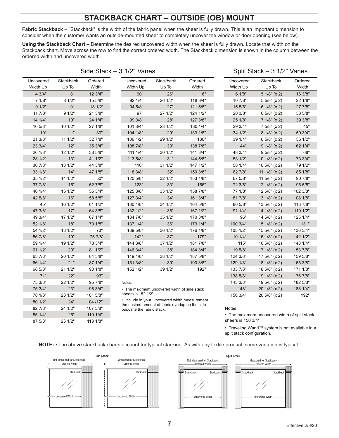## **STACKBACK CHART – OUTSIDE (OB) MOUNT**

**Fabric Stackback** – "Stackback" is the width of the fabric panel when the sheer is fully drawn. This is an important dimension to consider when the customer wants an outside-mounted sheer to completely uncover the window or door opening (see below).

**Using the Stackback Chart** – Determine the desired uncovered width when the sheer is fully drawn. Locate that width on the Stackback chart. Move across the row to find the correct ordered width. The Stackback dimension is shown in the column between the ordered width and uncovered width.

| Side Stack $-3$ 1/2" Vanes |                    |                  |                            |                                                                                                   | Split Stack - 3 1/2" Vanes |                       |                                              |                  |
|----------------------------|--------------------|------------------|----------------------------|---------------------------------------------------------------------------------------------------|----------------------------|-----------------------|----------------------------------------------|------------------|
| Uncovered<br>Width Up      | Stackback<br>Up To | Ordered<br>Width | Uncovered<br>Width Up      | Stackback<br>Up To                                                                                | Ordered<br>Width           | Uncovered<br>Width Up | <b>Stackback</b><br>Up To                    | Ordered<br>Width |
| 4 3/4"                     | 8"                 | 12 3/4"          | 90"                        | 26"                                                                                               | 116"                       | 6 1/8"                | 51/8" (x 2)                                  | 16 3/8"          |
| 7 1/8"                     | 8 1/2"             | 15 5/8"          | 92 1/4"                    | 26 1/2"                                                                                           | 118 3/4"                   | 10 7/8"               | 55/8" (x 2)                                  | 22 1/8"          |
| 91/2"                      | 9"                 | 18 1/2'          | 94 5/8"                    | 27"                                                                                               | 121 5/8"                   | 15 5/8"               | 6 $1/8$ " (x 2)                              | 27 7/8"          |
| 11 7/8"                    | 91/2"              | 21 3/8"          | 97"                        | 27 1/2"                                                                                           | 124 1/2"                   | 20 3/8"               | 65/8" (x 2)                                  | 33 5/8"          |
| 14 1/4"                    | 10"                | 24 1/4"          | 99 3/8"                    | 28"                                                                                               | 127 3/8"                   | 25 1/8"               | 71/8" (x 2)                                  | 39 3/8"          |
| 16 5/8"                    | 10 1/2"            | 27 1/8"          | 101 3/4"                   | 28 1/2"                                                                                           | 130 1/4"                   | 29 3/4"               | 75/8" (x 2)                                  | 45"              |
| 19"                        | 11"                | 30"              | 104 1/8"                   | 29"                                                                                               | 133 1/8"                   | 34 1/2"               | $81/8$ " (x 2)                               | 50 3/4"          |
| 21 3/8"                    | 11 1/2"            | 32 7/8"          | 106 1/2"                   | 29 1/2"                                                                                           | 136"                       | 39 1/4"               | 8 5/8" (x 2)                                 | 56 1/2"          |
| 23 3/4"                    | 12"                | 35 3/4"          | 108 7/8"                   | 30"                                                                                               | 138 7/8"                   | 44"                   | 91/8" (x 2)                                  | 62 1/4"          |
| 26 1/8"                    | 12 1/2"            | 38 5/8"          | 111 1/4"                   | 30 1/2"                                                                                           | 141 3/4"                   | 48 3/4"               | 95/8" (x 2)                                  | 68"              |
| 28 1/2"                    | 13"                | 41 1/2"          | 113 5/8"                   | 31"                                                                                               | 144 5/8"                   | 53 1/2"               | 10 $1/8$ " (x 2)                             | 73 3/4"          |
| 30 7/8"                    | 13 1/2"            | 44 3/8"          | 116"                       | 31 1/2"                                                                                           | 147 1/2"                   | 58 1/4"               | 10 $5/8$ " (x 2)                             | 79 1/2"          |
| 33 1/8"                    | 14"                | 47 1/8"          | 118 3/8"                   | 32"                                                                                               | 150 3/8"                   | 62 7/8"               | 11 $1/8$ " (x 2)                             | 85 1/8"          |
| 35 1/2"                    | 14 1/2"            | 50"              | 120 5/8"                   | 32 1/2"                                                                                           | 153 1/8"                   | 67 5/8"               | 11 $5/8$ " (x 2)                             | 90 7/8"          |
| 37 7/8"                    | 15"                | 52 7/8"          | 123"                       | 33"                                                                                               | 156"                       | 72 3/8"               | 12 $1/8$ " (x 2)                             | 96 5/8"          |
| 40 1/4"                    | 15 1/2"            | 55 3/4"          | 125 3/8"                   | 33 1/2"                                                                                           | 158 7/8"                   | 77 1/8"               | 12 5/8" (x 2)                                | 102 3/8"         |
| 42 5/8"                    | 16"                | 58 5/8"          | 127 3/4"                   | 34"                                                                                               | 161 3/4"                   | 81 7/8"               | 13 $1/8$ " (x 2)                             | 108 1/8"         |
| 45"                        | 16 1/2"            | 61 1/2"          | 130 1/8"                   | 34 1/2"                                                                                           | 164 5/8"                   | 86 5/8"               | 13 5/8" (x 2)                                | 113 7/8"         |
| 47 3/8"                    | 17"                | 64 3/8"          | 132 1/2"                   | 35"                                                                                               | 167 1/2"                   | 91 1/4"               | 14 $1/8$ " (x 2)                             | 119 1/2"         |
| 49 3/4"                    | 17 1/2"            | 67 1/4"          | 134 7/8"                   | 35 1/2"                                                                                           | 170 3/8"                   | 96"                   | 14 5/8" (x 2)                                | 125 1/4"         |
| 52 1/8"                    | 18"                | 70 1/8"          | 137 1/4"                   | 36"                                                                                               | 173 1/4"                   | 100 3/4"              | 15 $1/8$ " (x 2)                             | 131"             |
| 54 1/2"                    | 18 1/2"            | 73"              | 139 5/8"                   | 36 1/2"                                                                                           | 176 1/8"                   | 105 1/2"              | 155/8" (x 2)                                 | 136 3/4"         |
| 56 7/8"                    | 19"                | 75 7/8'          | 142"                       | 37"                                                                                               | 179"                       | 110 1/4"              | 16 $1/8$ " (x 2)                             | 142 1/2"         |
| 59 1/4"                    | 19 1/2"            | 78 3/4"          | 144 3/8"                   | 37 1/2"                                                                                           | 181 7/8"                   | 115"                  | 16 5/8" (x 2)                                | 148 1/4"         |
| 61 1/2"                    | 20"                | 81 1/2"          | 146 3/4"                   | 38"                                                                                               | 184 3/4"                   | 119 5/8"              | 17 $1/8$ " (x 2)                             | 153 7/8"         |
| 63 7/8"                    | 20 1/2"            | 84 3/8"          | 149 1/8"                   | 38 1/2"                                                                                           | 187 5/8"                   | 124 3/8"              | 17 $5/8$ " (x 2)                             | 159 5/8"         |
| 66 1/4"                    | 21"                | 87 1/4"          | 151 3/8"                   | 39"                                                                                               | 190 3/8"                   | 129 1/8"              | 18 1/8" (x 2)                                | 165 3/8"         |
| 68 5/8"                    | 21 1/2"            | 90 1/8"          | 152 1/2"                   | 39 1/2"                                                                                           | 192"                       | 133 7/8"              | 18 5/8" (x 2)                                | 171 1/8"         |
| 71"                        | 22"                | 93"              |                            |                                                                                                   |                            | 138 5/8"              | 19 1/8" (x 2)                                | 176 7/8"         |
| 73 3/8"                    | 22 1/2"            | 95 7/8"          | Notes:                     |                                                                                                   |                            | 143 3/8"              | 19 5/8" (x 2)                                | 182 5/8"         |
| 75 3/4"                    | 23"                | 98 3/4"          |                            | • The maximum uncovered width of side stack                                                       |                            | 148"                  | 20 1/8" (x 2)                                | 188 1/4"         |
| 78 1/8"                    | 23 1/2"            | 101 5/8"         | sheers is 152 1/2".        |                                                                                                   |                            | 150 3/4"              | 20 5/8" (x 2)                                | 192"             |
| 80 1/2"                    | 24"                | 104 /12"         |                            | • Include in your uncovered width measurement<br>the desired amount of fabric overlap on the side |                            |                       |                                              |                  |
| 82 7/8"                    | 24 1/2"            | 107 3/8"         | opposite the fabric stack. |                                                                                                   |                            | Notes:                |                                              |                  |
| 85 1/4"                    | 25"                | 110 1/4"         |                            |                                                                                                   |                            |                       | • The maximum uncovered width of split stack |                  |

**NOTE:** • The above stackback charts account for typical stacking. As with any textile product, some variation is typical.

87 5/8" 25 1/2" 113 1/8"



• Traveling Wand™ system is not available in a

split stack configuration.

sheers is 150 3/4".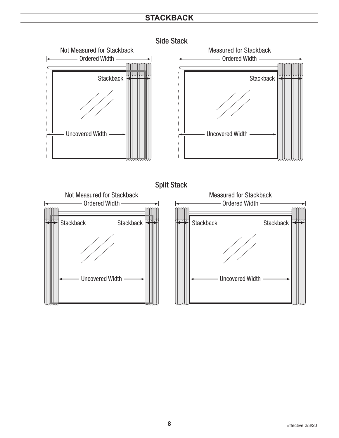### **STACKBACK**